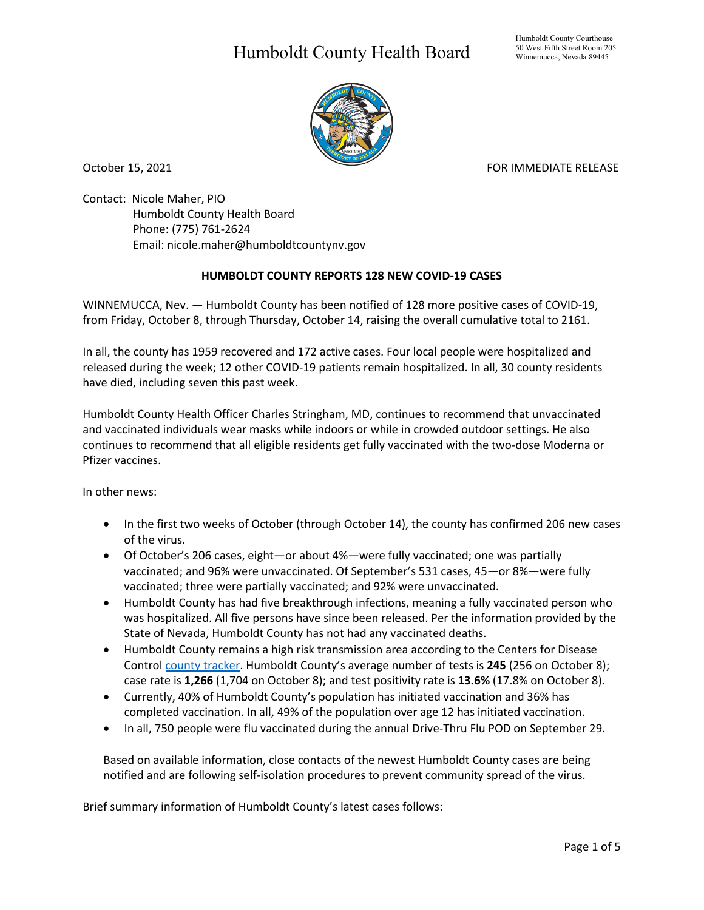## Humboldt County Health Board



October 15, 2021 **FOR IMMEDIATE RELEASE** 

Contact: Nicole Maher, PIO Humboldt County Health Board Phone: (775) 761-2624 Email: nicole.maher@humboldtcountynv.gov

## **HUMBOLDT COUNTY REPORTS 128 NEW COVID-19 CASES**

WINNEMUCCA, Nev. — Humboldt County has been notified of 128 more positive cases of COVID-19, from Friday, October 8, through Thursday, October 14, raising the overall cumulative total to 2161.

In all, the county has 1959 recovered and 172 active cases. Four local people were hospitalized and released during the week; 12 other COVID-19 patients remain hospitalized. In all, 30 county residents have died, including seven this past week.

Humboldt County Health Officer Charles Stringham, MD, continues to recommend that unvaccinated and vaccinated individuals wear masks while indoors or while in crowded outdoor settings. He also continues to recommend that all eligible residents get fully vaccinated with the two-dose Moderna or Pfizer vaccines.

In other news:

- In the first two weeks of October (through October 14), the county has confirmed 206 new cases of the virus.
- Of October's 206 cases, eight—or about 4%—were fully vaccinated; one was partially vaccinated; and 96% were unvaccinated. Of September's 531 cases, 45—or 8%—were fully vaccinated; three were partially vaccinated; and 92% were unvaccinated.
- Humboldt County has had five breakthrough infections, meaning a fully vaccinated person who was hospitalized. All five persons have since been released. Per the information provided by the State of Nevada, Humboldt County has not had any vaccinated deaths.
- Humboldt County remains a high risk transmission area according to the Centers for Disease Control [county tracker.](https://covid.cdc.gov/covid-data-tracker/#county-view) Humboldt County's average number of tests is **245** (256 on October 8); case rate is **1,266** (1,704 on October 8); and test positivity rate is **13.6%** (17.8% on October 8).
- Currently, 40% of Humboldt County's population has initiated vaccination and 36% has completed vaccination. In all, 49% of the population over age 12 has initiated vaccination.
- In all, 750 people were flu vaccinated during the annual Drive-Thru Flu POD on September 29.

Based on available information, close contacts of the newest Humboldt County cases are being notified and are following self-isolation procedures to prevent community spread of the virus.

Brief summary information of Humboldt County's latest cases follows: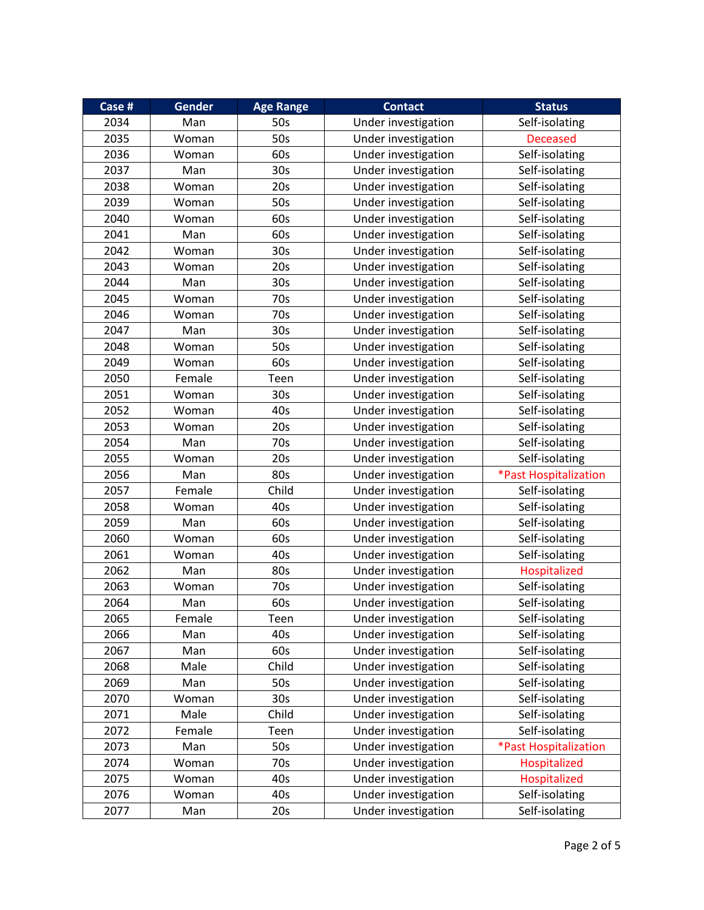| Case # | Gender | <b>Age Range</b> | <b>Contact</b>      | <b>Status</b>         |
|--------|--------|------------------|---------------------|-----------------------|
| 2034   | Man    | 50s              | Under investigation | Self-isolating        |
| 2035   | Woman  | 50s              | Under investigation | <b>Deceased</b>       |
| 2036   | Woman  | 60s              | Under investigation | Self-isolating        |
| 2037   | Man    | 30 <sub>s</sub>  | Under investigation | Self-isolating        |
| 2038   | Woman  | 20s              | Under investigation | Self-isolating        |
| 2039   | Woman  | 50s              | Under investigation | Self-isolating        |
| 2040   | Woman  | 60s              | Under investigation | Self-isolating        |
| 2041   | Man    | 60s              | Under investigation | Self-isolating        |
| 2042   | Woman  | 30 <sub>s</sub>  | Under investigation | Self-isolating        |
| 2043   | Woman  | 20s              | Under investigation | Self-isolating        |
| 2044   | Man    | 30 <sub>s</sub>  | Under investigation | Self-isolating        |
| 2045   | Woman  | 70s              | Under investigation | Self-isolating        |
| 2046   | Woman  | 70s              | Under investigation | Self-isolating        |
| 2047   | Man    | 30 <sub>s</sub>  | Under investigation | Self-isolating        |
| 2048   | Woman  | 50s              | Under investigation | Self-isolating        |
| 2049   | Woman  | 60s              | Under investigation | Self-isolating        |
| 2050   | Female | Teen             | Under investigation | Self-isolating        |
| 2051   | Woman  | 30s              | Under investigation | Self-isolating        |
| 2052   | Woman  | 40s              | Under investigation | Self-isolating        |
| 2053   | Woman  | 20s              | Under investigation | Self-isolating        |
| 2054   | Man    | 70s              | Under investigation | Self-isolating        |
| 2055   | Woman  | 20s              | Under investigation | Self-isolating        |
| 2056   | Man    | 80s              | Under investigation | *Past Hospitalization |
| 2057   | Female | Child            | Under investigation | Self-isolating        |
| 2058   | Woman  | 40s              | Under investigation | Self-isolating        |
| 2059   | Man    | 60s              | Under investigation | Self-isolating        |
| 2060   | Woman  | 60s              | Under investigation | Self-isolating        |
| 2061   | Woman  | 40s              | Under investigation | Self-isolating        |
| 2062   | Man    | 80s              | Under investigation | Hospitalized          |
| 2063   | Woman  | 70s              | Under investigation | Self-isolating        |
| 2064   | Man    | 60s              | Under investigation | Self-isolating        |
| 2065   | Female | Teen             | Under investigation | Self-isolating        |
| 2066   | Man    | 40s              | Under investigation | Self-isolating        |
| 2067   | Man    | 60s              | Under investigation | Self-isolating        |
| 2068   | Male   | Child            | Under investigation | Self-isolating        |
| 2069   | Man    | 50s              | Under investigation | Self-isolating        |
| 2070   | Woman  | 30 <sub>s</sub>  | Under investigation | Self-isolating        |
| 2071   | Male   | Child            | Under investigation | Self-isolating        |
| 2072   | Female | Teen             | Under investigation | Self-isolating        |
| 2073   | Man    | 50s              | Under investigation | *Past Hospitalization |
| 2074   | Woman  | 70s              | Under investigation | Hospitalized          |
| 2075   | Woman  | 40s              | Under investigation | Hospitalized          |
| 2076   | Woman  | 40s              | Under investigation | Self-isolating        |
| 2077   | Man    | 20s              | Under investigation | Self-isolating        |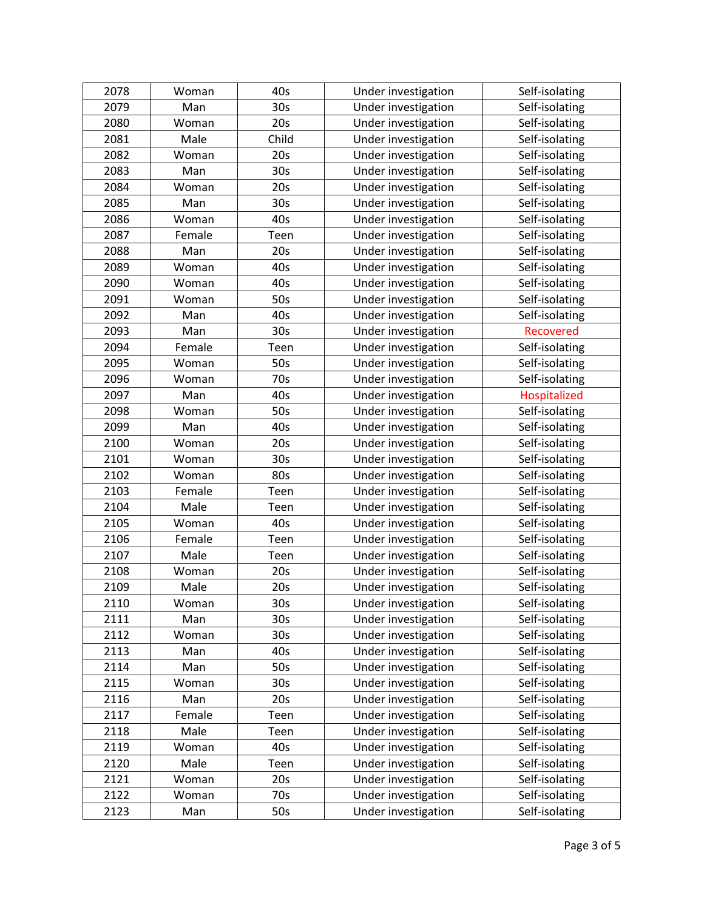| 2078 | Woman  | 40s             | Under investigation | Self-isolating   |
|------|--------|-----------------|---------------------|------------------|
| 2079 | Man    | 30 <sub>s</sub> | Under investigation | Self-isolating   |
| 2080 | Woman  | 20s             | Under investigation | Self-isolating   |
| 2081 | Male   | Child           | Under investigation | Self-isolating   |
| 2082 | Woman  | 20s             | Under investigation | Self-isolating   |
| 2083 | Man    | 30s             | Under investigation | Self-isolating   |
| 2084 | Woman  | 20s             | Under investigation | Self-isolating   |
| 2085 | Man    | 30 <sub>s</sub> | Under investigation | Self-isolating   |
| 2086 | Woman  | 40s             | Under investigation | Self-isolating   |
| 2087 | Female | Teen            | Under investigation | Self-isolating   |
| 2088 | Man    | 20s             | Under investigation | Self-isolating   |
| 2089 | Woman  | 40s             | Under investigation | Self-isolating   |
| 2090 | Woman  | 40s             | Under investigation | Self-isolating   |
| 2091 | Woman  | 50s             | Under investigation | Self-isolating   |
| 2092 | Man    | 40s             | Under investigation | Self-isolating   |
| 2093 | Man    | 30 <sub>s</sub> | Under investigation | <b>Recovered</b> |
| 2094 | Female | Teen            | Under investigation | Self-isolating   |
| 2095 | Woman  | 50s             | Under investigation | Self-isolating   |
| 2096 | Woman  | 70s             | Under investigation | Self-isolating   |
| 2097 | Man    | 40s             | Under investigation | Hospitalized     |
| 2098 | Woman  | 50s             | Under investigation | Self-isolating   |
| 2099 | Man    | 40s             | Under investigation | Self-isolating   |
| 2100 | Woman  | 20s             | Under investigation | Self-isolating   |
| 2101 | Woman  | 30 <sub>s</sub> | Under investigation | Self-isolating   |
| 2102 | Woman  | 80s             | Under investigation | Self-isolating   |
| 2103 | Female | Teen            | Under investigation | Self-isolating   |
| 2104 | Male   | Teen            | Under investigation | Self-isolating   |
| 2105 | Woman  | 40s             | Under investigation | Self-isolating   |
| 2106 | Female | Teen            | Under investigation | Self-isolating   |
| 2107 | Male   | Teen            | Under investigation | Self-isolating   |
| 2108 | Woman  | 20s             | Under investigation | Self-isolating   |
| 2109 | Male   | 20s             | Under investigation | Self-isolating   |
| 2110 | Woman  | 30 <sub>s</sub> | Under investigation | Self-isolating   |
| 2111 | Man    | 30 <sub>s</sub> | Under investigation | Self-isolating   |
| 2112 | Woman  | 30 <sub>s</sub> | Under investigation | Self-isolating   |
| 2113 | Man    | 40s             | Under investigation | Self-isolating   |
| 2114 | Man    | 50s             | Under investigation | Self-isolating   |
| 2115 | Woman  | 30s             | Under investigation | Self-isolating   |
| 2116 | Man    | 20s             | Under investigation | Self-isolating   |
| 2117 | Female | Teen            | Under investigation | Self-isolating   |
| 2118 | Male   | Teen            | Under investigation | Self-isolating   |
| 2119 | Woman  | 40s             | Under investigation | Self-isolating   |
| 2120 | Male   | Teen            | Under investigation | Self-isolating   |
| 2121 | Woman  | 20s             | Under investigation | Self-isolating   |
| 2122 | Woman  | 70s             | Under investigation | Self-isolating   |
| 2123 | Man    | 50s             | Under investigation | Self-isolating   |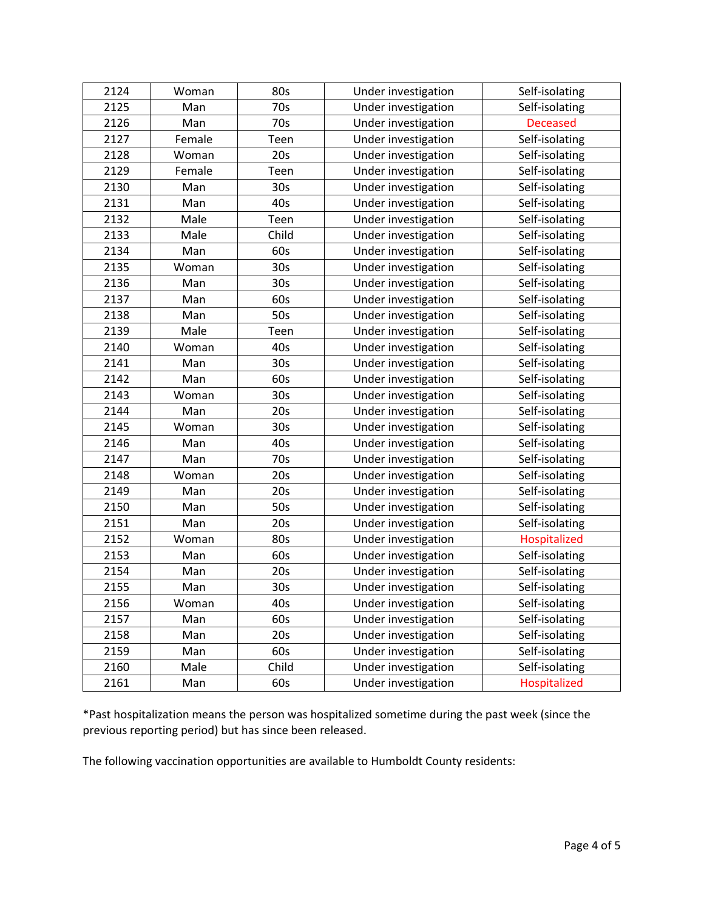| 2124 | Woman  | 80s             | Under investigation | Self-isolating  |
|------|--------|-----------------|---------------------|-----------------|
| 2125 | Man    | 70s             | Under investigation | Self-isolating  |
| 2126 | Man    | 70s             | Under investigation | <b>Deceased</b> |
| 2127 | Female | Teen            | Under investigation | Self-isolating  |
| 2128 | Woman  | 20s             | Under investigation | Self-isolating  |
| 2129 | Female | Teen            | Under investigation | Self-isolating  |
| 2130 | Man    | 30 <sub>s</sub> | Under investigation | Self-isolating  |
| 2131 | Man    | 40s             | Under investigation | Self-isolating  |
| 2132 | Male   | Teen            | Under investigation | Self-isolating  |
| 2133 | Male   | Child           | Under investigation | Self-isolating  |
| 2134 | Man    | 60s             | Under investigation | Self-isolating  |
| 2135 | Woman  | 30 <sub>s</sub> | Under investigation | Self-isolating  |
| 2136 | Man    | 30 <sub>s</sub> | Under investigation | Self-isolating  |
| 2137 | Man    | 60s             | Under investigation | Self-isolating  |
| 2138 | Man    | 50s             | Under investigation | Self-isolating  |
| 2139 | Male   | Teen            | Under investigation | Self-isolating  |
| 2140 | Woman  | 40s             | Under investigation | Self-isolating  |
| 2141 | Man    | 30 <sub>s</sub> | Under investigation | Self-isolating  |
| 2142 | Man    | 60s             | Under investigation | Self-isolating  |
| 2143 | Woman  | 30 <sub>s</sub> | Under investigation | Self-isolating  |
| 2144 | Man    | 20s             | Under investigation | Self-isolating  |
| 2145 | Woman  | 30 <sub>s</sub> | Under investigation | Self-isolating  |
| 2146 | Man    | 40s             | Under investigation | Self-isolating  |
| 2147 | Man    | 70s             | Under investigation | Self-isolating  |
| 2148 | Woman  | 20s             | Under investigation | Self-isolating  |
| 2149 | Man    | 20s             | Under investigation | Self-isolating  |
| 2150 | Man    | 50s             | Under investigation | Self-isolating  |
| 2151 | Man    | 20s             | Under investigation | Self-isolating  |
| 2152 | Woman  | 80s             | Under investigation | Hospitalized    |
| 2153 | Man    | 60s             | Under investigation | Self-isolating  |
| 2154 | Man    | 20s             | Under investigation | Self-isolating  |
| 2155 | Man    | 30 <sub>s</sub> | Under investigation | Self-isolating  |
| 2156 | Woman  | 40s             | Under investigation | Self-isolating  |
| 2157 | Man    | 60s             | Under investigation | Self-isolating  |
| 2158 | Man    | 20s             | Under investigation | Self-isolating  |
| 2159 | Man    | 60s             | Under investigation | Self-isolating  |
| 2160 | Male   | Child           | Under investigation | Self-isolating  |
| 2161 | Man    | 60s             | Under investigation | Hospitalized    |

\*Past hospitalization means the person was hospitalized sometime during the past week (since the previous reporting period) but has since been released.

The following vaccination opportunities are available to Humboldt County residents: